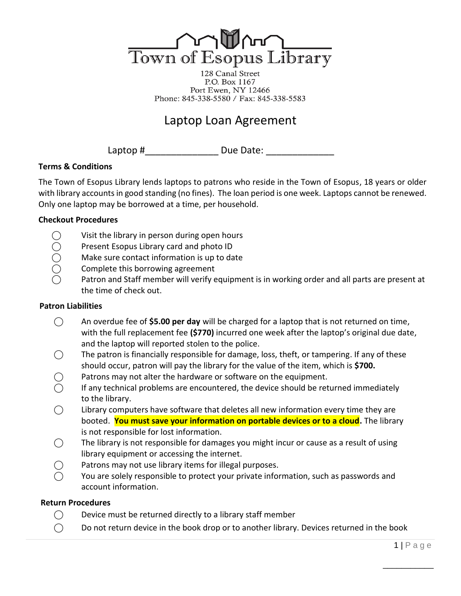

128 Canal Street P.O. Box 1167 Port Ewen, NY 12466 Phone: 845-338-5580 / Fax: 845-338-5583

# Laptop Loan Agreement

Laptop # The Due Date:

## **Terms & Conditions**

The Town of Esopus Library lends laptops to patrons who reside in the Town of Esopus, 18 years or older with library accounts in good standing (no fines). The loan period is one week. Laptops cannot be renewed. Only one laptop may be borrowed at a time, per household.

## **Checkout Procedures**

- 
- ⃝ Present Esopus Library card and photo ID
- $\bigcirc$  Visit the library in person during open hours<br> $\bigcirc$  Present Esopus Library card and photo ID<br> $\bigcirc$  Make sure contact information is up to date ⃝ Make sure contact information is up to date
- ⃝ Complete this borrowing agreement
- Patron and Staff member will verify equipment is in working order and all parts are present at the time of check out.

## **Patron Liabilities**

- ⃝ An overdue fee of **\$5.00 per day** will be charged for a laptop that is not returned on time, with the full replacement fee **(\$770)** incurred one week after the laptop's original due date, and the laptop will reported stolen to the police.
- ⃝ The patron is financially responsible for damage, loss, theft, or tampering. If any of these should occur, patron will pay the library for the value of the item, which is **\$700.**
- $\bigcirc$  Patrons may not alter the hardware or software on the equipment.
- If any technical problems are encountered, the device should be returned immediately to the library.
- $\bigcirc$  Library computers have software that deletes all new information every time they are booted. **You must save your information on portable devices or to a cloud.** The library is not responsible for lost information.
- $\bigcirc$  The library is not responsible for damages you might incur or cause as a result of using library equipment or accessing the internet.
- $\bigcirc$  Patrons may not use library items for illegal purposes.
- You are solely responsible to protect your private information, such as passwords and account information.

### **Return Procedures**

- $\bigcap$  Device must be returned directly to a library staff member
- $\bigcirc$  Do not return device in the book drop or to another library. Devices returned in the book

\_\_\_\_\_\_\_\_\_\_\_